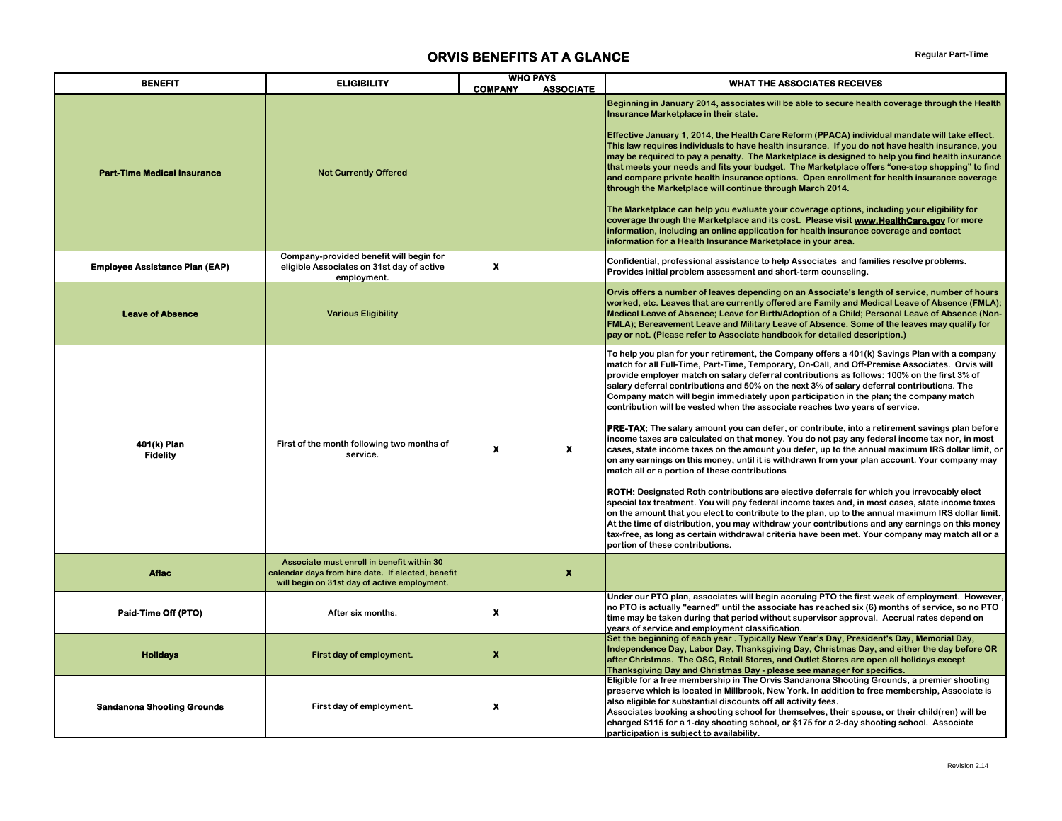## **ORVIS BENEFITS AT A GLANCE** *Regular Part-Time*

| <b>BENEFIT</b>                        | <b>ELIGIBILITY</b>                                                                                                                              |                  | <b>WHO PAYS</b>  | <b>WHAT THE ASSOCIATES RECEIVES</b>                                                                                                                                                                                                                                                                                                                                                                                                                                                                                                                                                                                                                                                                                                                                                                                                                                                                                                                                                                                                                                                                                                                                                                                                                                                                                                                                                                                                                                                                                                                                                           |
|---------------------------------------|-------------------------------------------------------------------------------------------------------------------------------------------------|------------------|------------------|-----------------------------------------------------------------------------------------------------------------------------------------------------------------------------------------------------------------------------------------------------------------------------------------------------------------------------------------------------------------------------------------------------------------------------------------------------------------------------------------------------------------------------------------------------------------------------------------------------------------------------------------------------------------------------------------------------------------------------------------------------------------------------------------------------------------------------------------------------------------------------------------------------------------------------------------------------------------------------------------------------------------------------------------------------------------------------------------------------------------------------------------------------------------------------------------------------------------------------------------------------------------------------------------------------------------------------------------------------------------------------------------------------------------------------------------------------------------------------------------------------------------------------------------------------------------------------------------------|
|                                       |                                                                                                                                                 | <b>COMPANY</b>   | <b>ASSOCIATE</b> |                                                                                                                                                                                                                                                                                                                                                                                                                                                                                                                                                                                                                                                                                                                                                                                                                                                                                                                                                                                                                                                                                                                                                                                                                                                                                                                                                                                                                                                                                                                                                                                               |
| <b>Part-Time Medical Insurance</b>    | <b>Not Currently Offered</b>                                                                                                                    |                  |                  | Beginning in January 2014, associates will be able to secure health coverage through the Health<br>Insurance Marketplace in their state.<br>Effective January 1, 2014, the Health Care Reform (PPACA) individual mandate will take effect.<br>This law requires individuals to have health insurance. If you do not have health insurance, you<br>may be required to pay a penalty. The Marketplace is designed to help you find health insurance<br>that meets your needs and fits your budget. The Marketplace offers "one-stop shopping" to find<br>and compare private health insurance options. Open enrollment for health insurance coverage<br>through the Marketplace will continue through March 2014.<br>The Marketplace can help you evaluate your coverage options, including your eligibility for<br>coverage through the Marketplace and its cost. Please visit <b>www.HealthCare.gov</b> for more<br>information, including an online application for health insurance coverage and contact<br>information for a Health Insurance Marketplace in your area.                                                                                                                                                                                                                                                                                                                                                                                                                                                                                                                    |
| <b>Employee Assistance Plan (EAP)</b> | Company-provided benefit will begin for<br>eligible Associates on 31st day of active<br>employment.                                             | $\pmb{\times}$   |                  | Confidential, professional assistance to help Associates and families resolve problems.<br>Provides initial problem assessment and short-term counseling.                                                                                                                                                                                                                                                                                                                                                                                                                                                                                                                                                                                                                                                                                                                                                                                                                                                                                                                                                                                                                                                                                                                                                                                                                                                                                                                                                                                                                                     |
| <b>Leave of Absence</b>               | <b>Various Eligibility</b>                                                                                                                      |                  |                  | Orvis offers a number of leaves depending on an Associate's length of service, number of hours<br>worked, etc. Leaves that are currently offered are Family and Medical Leave of Absence (FMLA);<br>Medical Leave of Absence; Leave for Birth/Adoption of a Child; Personal Leave of Absence (Non-<br>FMLA); Bereavement Leave and Military Leave of Absence. Some of the leaves may qualify for<br>pay or not. (Please refer to Associate handbook for detailed description.)                                                                                                                                                                                                                                                                                                                                                                                                                                                                                                                                                                                                                                                                                                                                                                                                                                                                                                                                                                                                                                                                                                                |
| 401(k) Plan<br><b>Fidelity</b>        | First of the month following two months of<br>service.                                                                                          | x                | $\boldsymbol{x}$ | To help you plan for your retirement, the Company offers a 401(k) Savings Plan with a company<br>match for all Full-Time, Part-Time, Temporary, On-Call, and Off-Premise Associates. Orvis will<br>provide employer match on salary deferral contributions as follows: 100% on the first 3% of<br>salary deferral contributions and 50% on the next 3% of salary deferral contributions. The<br>Company match will begin immediately upon participation in the plan; the company match<br>contribution will be vested when the associate reaches two years of service.<br><b>PRE-TAX:</b> The salary amount you can defer, or contribute, into a retirement savings plan before<br>income taxes are calculated on that money. You do not pay any federal income tax nor, in most<br>cases, state income taxes on the amount you defer, up to the annual maximum IRS dollar limit, or<br>on any earnings on this money, until it is withdrawn from your plan account. Your company may<br>match all or a portion of these contributions<br><b>ROTH:</b> Designated Roth contributions are elective deferrals for which you irrevocably elect<br>special tax treatment. You will pay federal income taxes and, in most cases, state income taxes<br>on the amount that you elect to contribute to the plan, up to the annual maximum IRS dollar limit.<br>At the time of distribution, you may withdraw your contributions and any earnings on this money<br>tax-free, as long as certain withdrawal criteria have been met. Your company may match all or a<br>portion of these contributions. |
| <b>Aflac</b>                          | Associate must enroll in benefit within 30<br>calendar days from hire date. If elected, benefit<br>will begin on 31st day of active employment. |                  | $\boldsymbol{x}$ |                                                                                                                                                                                                                                                                                                                                                                                                                                                                                                                                                                                                                                                                                                                                                                                                                                                                                                                                                                                                                                                                                                                                                                                                                                                                                                                                                                                                                                                                                                                                                                                               |
| Paid-Time Off (PTO)                   | After six months.                                                                                                                               | $\boldsymbol{x}$ |                  | Under our PTO plan, associates will begin accruing PTO the first week of employment. However,<br>no PTO is actually "earned" until the associate has reached six (6) months of service, so no PTO<br>time may be taken during that period without supervisor approval. Accrual rates depend on<br>years of service and employment classification.                                                                                                                                                                                                                                                                                                                                                                                                                                                                                                                                                                                                                                                                                                                                                                                                                                                                                                                                                                                                                                                                                                                                                                                                                                             |
| <b>Holidays</b>                       | First day of employment.                                                                                                                        | $\boldsymbol{x}$ |                  | Set the beginning of each year . Typically New Year's Day, President's Day, Memorial Day,<br>Independence Day, Labor Day, Thanksgiving Day, Christmas Day, and either the day before OR<br>after Christmas. The OSC, Retail Stores, and Outlet Stores are open all holidays except<br>Thanksgiving Day and Christmas Day - please see manager for specifics.                                                                                                                                                                                                                                                                                                                                                                                                                                                                                                                                                                                                                                                                                                                                                                                                                                                                                                                                                                                                                                                                                                                                                                                                                                  |
| <b>Sandanona Shooting Grounds</b>     | First day of employment.                                                                                                                        | x                |                  | Eligible for a free membership in The Orvis Sandanona Shooting Grounds, a premier shooting<br>preserve which is located in Millbrook, New York. In addition to free membership, Associate is<br>also eligible for substantial discounts off all activity fees.<br>Associates booking a shooting school for themselves, their spouse, or their child(ren) will be<br>charged \$115 for a 1-day shooting school, or \$175 for a 2-day shooting school. Associate<br>participation is subject to availability.                                                                                                                                                                                                                                                                                                                                                                                                                                                                                                                                                                                                                                                                                                                                                                                                                                                                                                                                                                                                                                                                                   |